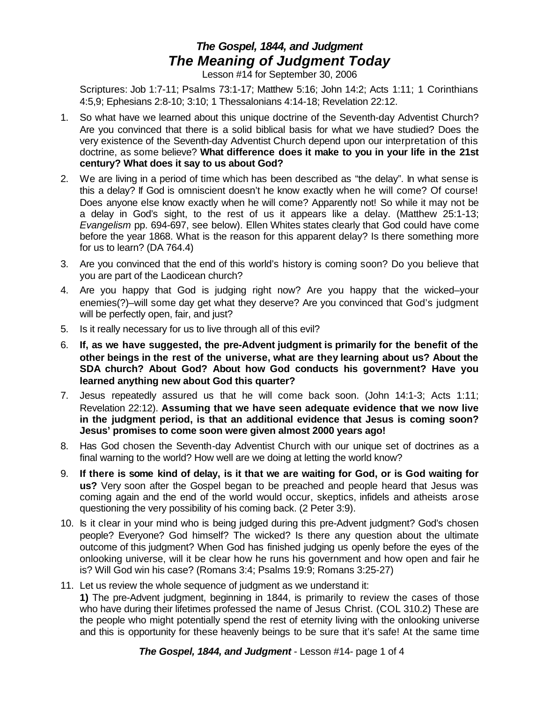## *The Gospel, 1844, and Judgment The Meaning of Judgment Today*

Lesson #14 for September 30, 2006

Scriptures: Job 1:7-11; Psalms 73:1-17; Matthew 5:16; John 14:2; Acts 1:11; 1 Corinthians 4:5,9; Ephesians 2:8-10; 3:10; 1 Thessalonians 4:14-18; Revelation 22:12.

- 1. So what have we learned about this unique doctrine of the Seventh-day Adventist Church? Are you convinced that there is a solid biblical basis for what we have studied? Does the very existence of the Seventh-day Adventist Church depend upon our interpretation of this doctrine, as some believe? **What difference does it make to you in your life in the 21st century? What does it say to us about God?**
- 2. We are living in a period of time which has been described as "the delay". In what sense is this a delay? If God is omniscient doesn't he know exactly when he will come? Of course! Does anyone else know exactly when he will come? Apparently not! So while it may not be a delay in God's sight, to the rest of us it appears like a delay. (Matthew 25:1-13; *Evangelism* pp. 694-697, see below). Ellen Whites states clearly that God could have come before the year 1868. What is the reason for this apparent delay? Is there something more for us to learn? (DA 764.4)
- 3. Are you convinced that the end of this world's history is coming soon? Do you believe that you are part of the Laodicean church?
- 4. Are you happy that God is judging right now? Are you happy that the wicked–your enemies(?)–will some day get what they deserve? Are you convinced that God's judgment will be perfectly open, fair, and just?
- 5. Is it really necessary for us to live through all of this evil?
- 6. **If, as we have suggested, the pre-Advent judgment is primarily for the benefit of the other beings in the rest of the universe, what are they learning about us? About the SDA church? About God? About how God conducts his government? Have you learned anything new about God this quarter?**
- 7. Jesus repeatedly assured us that he will come back soon. (John 14:1-3; Acts 1:11; Revelation 22:12). **Assuming that we have seen adequate evidence that we now live in the judgment period, is that an additional evidence that Jesus is coming soon? Jesus' promises to come soon were given almost 2000 years ago!**
- 8. Has God chosen the Seventh-day Adventist Church with our unique set of doctrines as a final warning to the world? How well are we doing at letting the world know?
- 9. If there is some kind of delay, is it that we are waiting for God, or is God waiting for **us?** Very soon after the Gospel began to be preached and people heard that Jesus was coming again and the end of the world would occur, skeptics, infidels and atheists arose questioning the very possibility of his coming back. (2 Peter 3:9).
- 10. Is it clear in your mind who is being judged during this pre-Advent judgment? God's chosen people? Everyone? God himself? The wicked? Is there any question about the ultimate outcome of this judgment? When God has finished judging us openly before the eyes of the onlooking universe, will it be clear how he runs his government and how open and fair he is? Will God win his case? (Romans 3:4; Psalms 19:9; Romans 3:25-27)
- 11. Let us review the whole sequence of judgment as we understand it: **1)** The pre-Advent judgment, beginning in 1844, is primarily to review the cases of those who have during their lifetimes professed the name of Jesus Christ. (COL 310.2) These are the people who might potentially spend the rest of eternity living with the onlooking universe and this is opportunity for these heavenly beings to be sure that it's safe! At the same time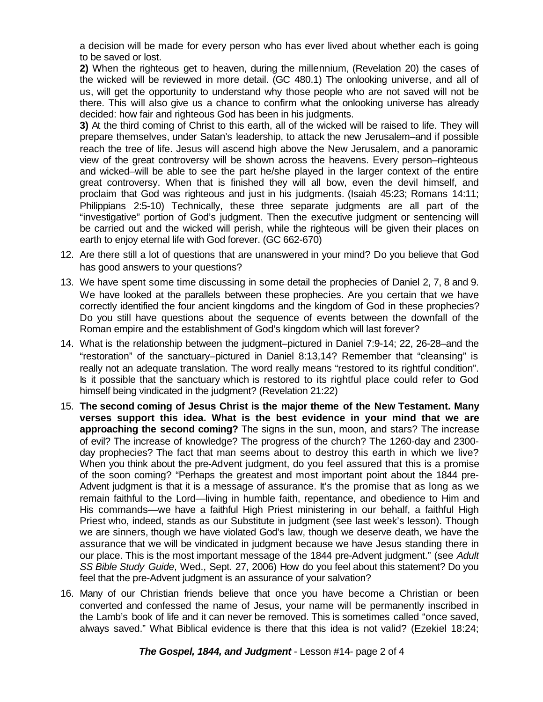a decision will be made for every person who has ever lived about whether each is going to be saved or lost.

**2)** When the righteous get to heaven, during the millennium, (Revelation 20) the cases of the wicked will be reviewed in more detail. (GC 480.1) The onlooking universe, and all of us, will get the opportunity to understand why those people who are not saved will not be there. This will also give us a chance to confirm what the onlooking universe has already decided: how fair and righteous God has been in his judgments.

**3)** At the third coming of Christ to this earth, all of the wicked will be raised to life. They will prepare themselves, under Satan's leadership, to attack the new Jerusalem–and if possible reach the tree of life. Jesus will ascend high above the New Jerusalem, and a panoramic view of the great controversy will be shown across the heavens. Every person–righteous and wicked–will be able to see the part he/she played in the larger context of the entire great controversy. When that is finished they will all bow, even the devil himself, and proclaim that God was righteous and just in his judgments. (Isaiah 45:23; Romans 14:11; Philippians 2:5-10) Technically, these three separate judgments are all part of the "investigative" portion of God's judgment. Then the executive judgment or sentencing will be carried out and the wicked will perish, while the righteous will be given their places on earth to enjoy eternal life with God forever. (GC 662-670)

- 12. Are there still a lot of questions that are unanswered in your mind? Do you believe that God has good answers to your questions?
- 13. We have spent some time discussing in some detail the prophecies of Daniel 2, 7, 8 and 9. We have looked at the parallels between these prophecies. Are you certain that we have correctly identified the four ancient kingdoms and the kingdom of God in these prophecies? Do you still have questions about the sequence of events between the downfall of the Roman empire and the establishment of God's kingdom which will last forever?
- 14. What is the relationship between the judgment–pictured in Daniel 7:9-14; 22, 26-28–and the "restoration" of the sanctuary–pictured in Daniel 8:13,14? Remember that "cleansing" is really not an adequate translation. The word really means "restored to its rightful condition". Is it possible that the sanctuary which is restored to its rightful place could refer to God himself being vindicated in the judgment? (Revelation 21:22)
- 15. **The second coming of Jesus Christ is the major theme of the New Testament. Many verses support this idea. What is the best evidence in your mind that we are approaching the second coming?** The signs in the sun, moon, and stars? The increase of evil? The increase of knowledge? The progress of the church? The 1260-day and 2300 day prophecies? The fact that man seems about to destroy this earth in which we live? When you think about the pre-Advent judgment, do you feel assured that this is a promise of the soon coming? "Perhaps the greatest and most important point about the 1844 pre-Advent judgment is that it is a message of assurance. It's the promise that as long as we remain faithful to the Lord—living in humble faith, repentance, and obedience to Him and His commands—we have a faithful High Priest ministering in our behalf, a faithful High Priest who, indeed, stands as our Substitute in judgment (see last week's lesson). Though we are sinners, though we have violated God's law, though we deserve death, we have the assurance that we will be vindicated in judgment because we have Jesus standing there in our place. This is the most important message of the 1844 pre-Advent judgment." (see *Adult SS Bible Study Guide*, Wed., Sept. 27, 2006) How do you feel about this statement? Do you feel that the pre-Advent judgment is an assurance of your salvation?
- 16. Many of our Christian friends believe that once you have become a Christian or been converted and confessed the name of Jesus, your name will be permanently inscribed in the Lamb's book of life and it can never be removed. This is sometimes called "once saved, always saved." What Biblical evidence is there that this idea is not valid? (Ezekiel 18:24;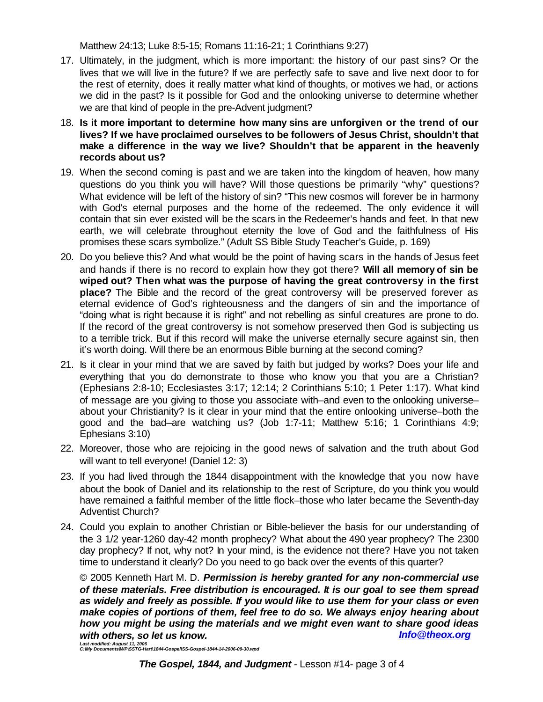Matthew 24:13; Luke 8:5-15; Romans 11:16-21; 1 Corinthians 9:27)

- 17. Ultimately, in the judgment, which is more important: the history of our past sins? Or the lives that we will live in the future? If we are perfectly safe to save and live next door to for the rest of eternity, does it really matter what kind of thoughts, or motives we had, or actions we did in the past? Is it possible for God and the onlooking universe to determine whether we are that kind of people in the pre-Advent judgment?
- 18. **Is it more important to determine how many sins are unforgiven or the trend of our lives? If we have proclaimed ourselves to be followers of Jesus Christ, shouldn't that make a difference in the way we live? Shouldn't that be apparent in the heavenly records about us?**
- 19. When the second coming is past and we are taken into the kingdom of heaven, how many questions do you think you will have? Will those questions be primarily "why" questions? What evidence will be left of the history of sin? "This new cosmos will forever be in harmony with God's eternal purposes and the home of the redeemed. The only evidence it will contain that sin ever existed will be the scars in the Redeemer's hands and feet. In that new earth, we will celebrate throughout eternity the love of God and the faithfulness of His promises these scars symbolize." (Adult SS Bible Study Teacher's Guide, p. 169)
- 20. Do you believe this? And what would be the point of having scars in the hands of Jesus feet and hands if there is no record to explain how they got there? **Will all memory of sin be wiped out? Then what was the purpose of having the great controversy in the first place?** The Bible and the record of the great controversy will be preserved forever as eternal evidence of God's righteousness and the dangers of sin and the importance of "doing what is right because it is right" and not rebelling as sinful creatures are prone to do. If the record of the great controversy is not somehow preserved then God is subjecting us to a terrible trick. But if this record will make the universe eternally secure against sin, then it's worth doing. Will there be an enormous Bible burning at the second coming?
- 21. Is it clear in your mind that we are saved by faith but judged by works? Does your life and everything that you do demonstrate to those who know you that you are a Christian? (Ephesians 2:8-10; Ecclesiastes 3:17; 12:14; 2 Corinthians 5:10; 1 Peter 1:17). What kind of message are you giving to those you associate with–and even to the onlooking universe– about your Christianity? Is it clear in your mind that the entire onlooking universe–both the good and the bad–are watching us? (Job 1:7-11; Matthew 5:16; 1 Corinthians 4:9; Ephesians 3:10)
- 22. Moreover, those who are rejoicing in the good news of salvation and the truth about God will want to tell everyone! (Daniel 12: 3)
- 23. If you had lived through the 1844 disappointment with the knowledge that you now have about the book of Daniel and its relationship to the rest of Scripture, do you think you would have remained a faithful member of the little flock–those who later became the Seventh-day Adventist Church?
- 24. Could you explain to another Christian or Bible-believer the basis for our understanding of the 3 1/2 year-1260 day-42 month prophecy? What about the 490 year prophecy? The 2300 day prophecy? If not, why not? In your mind, is the evidence not there? Have you not taken time to understand it clearly? Do you need to go back over the events of this quarter?

© 2005 Kenneth Hart M. D. *Permission is hereby granted for any non-commercial use of these materials. Free distribution is encouraged. It is our goal to see them spread as widely and freely as possible. If you would like to use them for your class or even make copies of portions of them, feel free to do so. We always enjoy hearing about how you might be using the materials and we might even want to share good ideas with others, so let us know. Info@theox.org*

*Last modified: August 11, 2006 C:\My Documents\WP\SSTG-Hart\1844-Gospel\SS-Gospel-1844-14-2006-09-30.wpd*